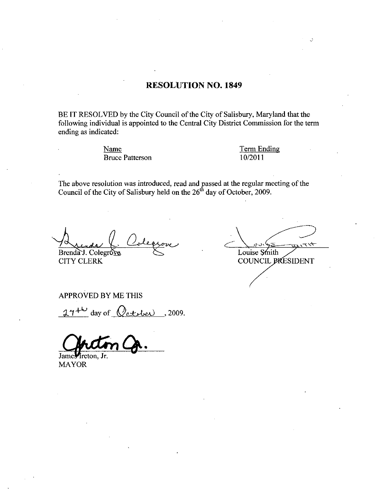## RESOLUTION NO. 1849

BE IT RESOLVED by the City Council of the City of Salisbury, Maryland that the following individual is appointed to the Central City District Commission for the term ending as indicated

> Name Term Ending Name Term Er<br>Bruce Patterson 10/2011

The above resolution was introduced, read and passed at the regular meeting of the Council of the City of Salisbury held on the  $26<sup>th</sup>$  day of October, 2009.

**CITY CLERK** 

 $\bigcup_{\tau \in \mathcal{A}}$ Brenda J. Colegroves Solution Louise Smith COUNCIL PRESIDENT

APPROVED BY ME THIS

 $27^{+\omega}$  day of  $Q$ eterber , 2009.

James Ireton, Jr. MAYOR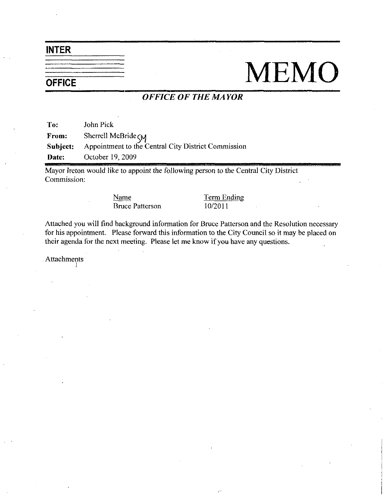INTER

## $\frac{1}{\sqrt{1-\frac{1}{1-\frac{1}{1-\frac{1}{1-\frac{1}{1-\frac{1}{1-\frac{1}{1-\frac{1}{1-\frac{1}{1-\frac{1}{1-\frac{1}{1-\frac{1}{1-\frac{1}{1-\frac{1}{1-\frac{1}{1-\frac{1}{1-\frac{1}{1-\frac{1}{1-\frac{1}{1-\frac{1}{1-\frac{1}{1-\frac{1}{1-\frac{1}{1-\frac{1}{1-\frac{1}{1-\frac{1}{1-\frac{1}{1-\frac{1}{1-\frac{1}{1-\frac{1}{1-\frac{1}{1-\frac{1}{1-\frac{1}{1-\frac{1}{1-\frac{1}{1-\frac{1}{1-\$

## OFFICE OF THE MAYOR

To: John Pick From: Sherrell McBride<sub>SM</sub><br>Subject: Appointment to the C Appointment to the Central City District Commission Date: October 19, 2009

Mayor Ireton would like to appoint the following person to the Central City District Commission

> Name Term Ending Bruce Patterson 10/2011

Attached you will find background information for Bruce Patterson and the Resolution necessary for his appointment. Please forward this information to the City Council so it may be placed on their agenda for the next meeting. Please let me know if you have any questions.

Attachments